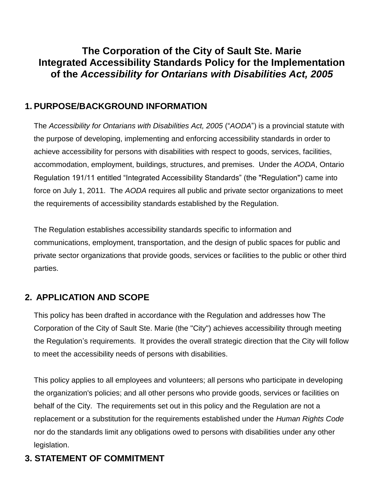# **The Corporation of the City of Sault Ste. Marie Integrated Accessibility Standards Policy for the Implementation of the** *Accessibility for Ontarians with Disabilities Act, 2005*

## **1. PURPOSE/BACKGROUND INFORMATION**

The *Accessibility for Ontarians with Disabilities Act, 2005* ("*AODA*") is a provincial statute with the purpose of developing, implementing and enforcing accessibility standards in order to achieve accessibility for persons with disabilities with respect to goods, services, facilities, accommodation, employment, buildings, structures, and premises. Under the *AODA*, Ontario Regulation 191/11 entitled "Integrated Accessibility Standards" (the "Regulation") came into force on July 1, 2011. The *AODA* requires all public and private sector organizations to meet the requirements of accessibility standards established by the Regulation.

The Regulation establishes accessibility standards specific to information and communications, employment, transportation, and the design of public spaces for public and private sector organizations that provide goods, services or facilities to the public or other third parties.

# **2. APPLICATION AND SCOPE**

This policy has been drafted in accordance with the Regulation and addresses how The Corporation of the City of Sault Ste. Marie (the "City") achieves accessibility through meeting the Regulation's requirements. It provides the overall strategic direction that the City will follow to meet the accessibility needs of persons with disabilities.

This policy applies to all employees and volunteers; all persons who participate in developing the organization's policies; and all other persons who provide goods, services or facilities on behalf of the City. The requirements set out in this policy and the Regulation are not a replacement or a substitution for the requirements established under the *Human Rights Code*  nor do the standards limit any obligations owed to persons with disabilities under any other legislation.

# **3. STATEMENT OF COMMITMENT**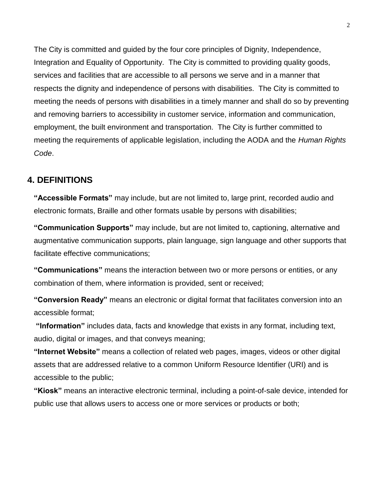The City is committed and guided by the four core principles of Dignity, Independence, Integration and Equality of Opportunity. The City is committed to providing quality goods, services and facilities that are accessible to all persons we serve and in a manner that respects the dignity and independence of persons with disabilities. The City is committed to meeting the needs of persons with disabilities in a timely manner and shall do so by preventing and removing barriers to accessibility in customer service, information and communication, employment, the built environment and transportation. The City is further committed to meeting the requirements of applicable legislation, including the AODA and the *Human Rights Code*.

## **4. DEFINITIONS**

**"Accessible Formats"** may include, but are not limited to, large print, recorded audio and electronic formats, Braille and other formats usable by persons with disabilities;

**"Communication Supports"** may include, but are not limited to, captioning, alternative and augmentative communication supports, plain language, sign language and other supports that facilitate effective communications;

**"Communications"** means the interaction between two or more persons or entities, or any combination of them, where information is provided, sent or received;

**"Conversion Ready"** means an electronic or digital format that facilitates conversion into an accessible format;

**"Information"** includes data, facts and knowledge that exists in any format, including text, audio, digital or images, and that conveys meaning;

**"Internet Website"** means a collection of related web pages, images, videos or other digital assets that are addressed relative to a common Uniform Resource Identifier (URI) and is accessible to the public;

**"Kiosk"** means an interactive electronic terminal, including a point-of-sale device, intended for public use that allows users to access one or more services or products or both;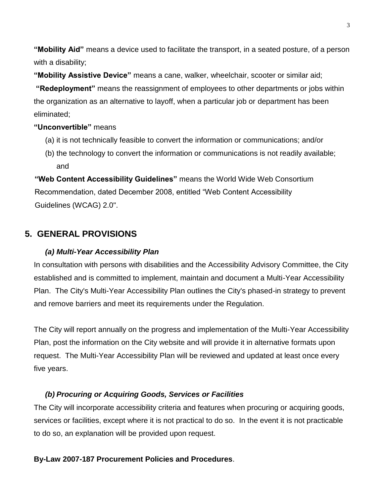**"Mobility Aid"** means a device used to facilitate the transport, in a seated posture, of a person with a disability;

**"Mobility Assistive Device"** means a cane, walker, wheelchair, scooter or similar aid;

**"Redeployment"** means the reassignment of employees to other departments or jobs within the organization as an alternative to layoff, when a particular job or department has been eliminated;

## **"Unconvertible"** means

- (a) it is not technically feasible to convert the information or communications; and/or
- (b) the technology to convert the information or communications is not readily available; and

**"Web Content Accessibility Guidelines"** means the World Wide Web Consortium Recommendation, dated December 2008, entitled "Web Content Accessibility Guidelines (WCAG) 2.0".

## **5. GENERAL PROVISIONS**

### *(a) Multi-Year Accessibility Plan*

In consultation with persons with disabilities and the Accessibility Advisory Committee, the City established and is committed to implement, maintain and document a Multi-Year Accessibility Plan. The City's Multi-Year Accessibility Plan outlines the City's phased-in strategy to prevent and remove barriers and meet its requirements under the Regulation.

The City will report annually on the progress and implementation of the Multi-Year Accessibility Plan, post the information on the City website and will provide it in alternative formats upon request. The Multi-Year Accessibility Plan will be reviewed and updated at least once every five years.

## *(b) Procuring or Acquiring Goods, Services or Facilities*

The City will incorporate accessibility criteria and features when procuring or acquiring goods, services or facilities, except where it is not practical to do so. In the event it is not practicable to do so, an explanation will be provided upon request.

#### **By-Law 2007-187 Procurement Policies and Procedures**.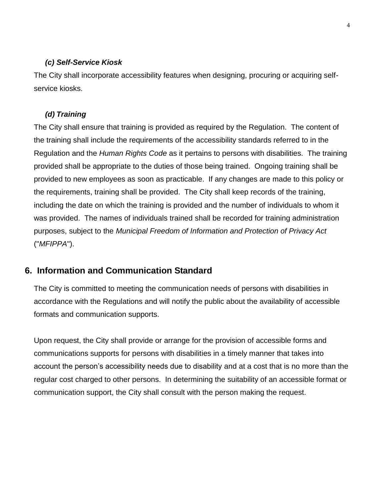#### *(c) Self-Service Kiosk*

The City shall incorporate accessibility features when designing, procuring or acquiring selfservice kiosks.

#### *(d) Training*

The City shall ensure that training is provided as required by the Regulation. The content of the training shall include the requirements of the accessibility standards referred to in the Regulation and the *Human Rights Code* as it pertains to persons with disabilities. The training provided shall be appropriate to the duties of those being trained. Ongoing training shall be provided to new employees as soon as practicable. If any changes are made to this policy or the requirements, training shall be provided. The City shall keep records of the training, including the date on which the training is provided and the number of individuals to whom it was provided. The names of individuals trained shall be recorded for training administration purposes, subject to the *Municipal Freedom of Information and Protection of Privacy Act*  ("*MFIPPA*").

## **6. Information and Communication Standard**

The City is committed to meeting the communication needs of persons with disabilities in accordance with the Regulations and will notify the public about the availability of accessible formats and communication supports.

Upon request, the City shall provide or arrange for the provision of accessible forms and communications supports for persons with disabilities in a timely manner that takes into account the person's accessibility needs due to disability and at a cost that is no more than the regular cost charged to other persons. In determining the suitability of an accessible format or communication support, the City shall consult with the person making the request.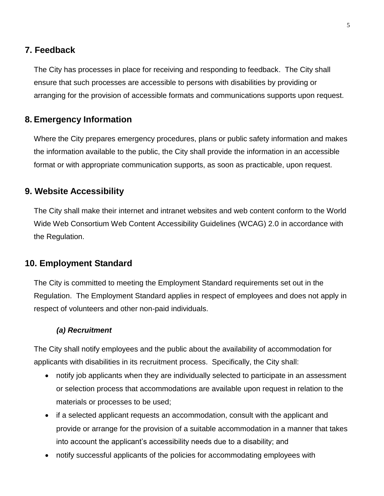#### **7. Feedback**

The City has processes in place for receiving and responding to feedback. The City shall ensure that such processes are accessible to persons with disabilities by providing or arranging for the provision of accessible formats and communications supports upon request.

### **8. Emergency Information**

Where the City prepares emergency procedures, plans or public safety information and makes the information available to the public, the City shall provide the information in an accessible format or with appropriate communication supports, as soon as practicable, upon request.

## **9. Website Accessibility**

The City shall make their internet and intranet websites and web content conform to the World Wide Web Consortium Web Content Accessibility Guidelines (WCAG) 2.0 in accordance with the Regulation.

### **10. Employment Standard**

The City is committed to meeting the Employment Standard requirements set out in the Regulation. The Employment Standard applies in respect of employees and does not apply in respect of volunteers and other non-paid individuals.

#### *(a) Recruitment*

The City shall notify employees and the public about the availability of accommodation for applicants with disabilities in its recruitment process. Specifically, the City shall:

- notify job applicants when they are individually selected to participate in an assessment or selection process that accommodations are available upon request in relation to the materials or processes to be used;
- if a selected applicant requests an accommodation, consult with the applicant and provide or arrange for the provision of a suitable accommodation in a manner that takes into account the applicant's accessibility needs due to a disability; and
- notify successful applicants of the policies for accommodating employees with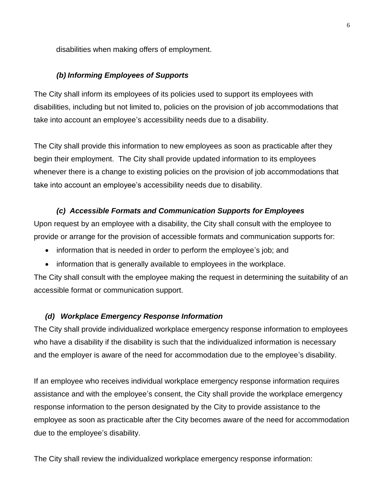disabilities when making offers of employment.

#### *(b) Informing Employees of Supports*

The City shall inform its employees of its policies used to support its employees with disabilities, including but not limited to, policies on the provision of job accommodations that take into account an employee's accessibility needs due to a disability.

The City shall provide this information to new employees as soon as practicable after they begin their employment. The City shall provide updated information to its employees whenever there is a change to existing policies on the provision of job accommodations that take into account an employee's accessibility needs due to disability.

#### *(c) Accessible Formats and Communication Supports for Employees*

Upon request by an employee with a disability, the City shall consult with the employee to provide or arrange for the provision of accessible formats and communication supports for:

- information that is needed in order to perform the employee's job; and
- information that is generally available to employees in the workplace.

The City shall consult with the employee making the request in determining the suitability of an accessible format or communication support.

#### *(d) Workplace Emergency Response Information*

The City shall provide individualized workplace emergency response information to employees who have a disability if the disability is such that the individualized information is necessary and the employer is aware of the need for accommodation due to the employee's disability.

If an employee who receives individual workplace emergency response information requires assistance and with the employee's consent, the City shall provide the workplace emergency response information to the person designated by the City to provide assistance to the employee as soon as practicable after the City becomes aware of the need for accommodation due to the employee's disability.

The City shall review the individualized workplace emergency response information: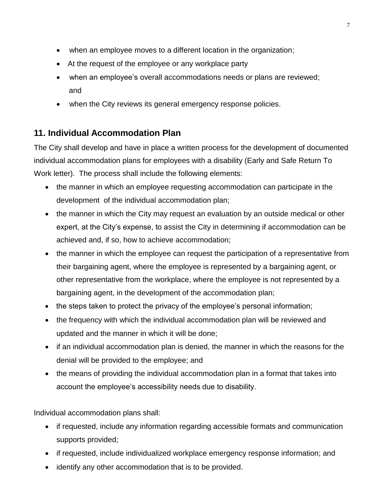- when an employee moves to a different location in the organization;
- At the request of the employee or any workplace party
- when an employee's overall accommodations needs or plans are reviewed; and
- when the City reviews its general emergency response policies.

## **11. Individual Accommodation Plan**

The City shall develop and have in place a written process for the development of documented individual accommodation plans for employees with a disability (Early and Safe Return To Work letter). The process shall include the following elements:

- the manner in which an employee requesting accommodation can participate in the development of the individual accommodation plan;
- the manner in which the City may request an evaluation by an outside medical or other expert, at the City's expense, to assist the City in determining if accommodation can be achieved and, if so, how to achieve accommodation;
- the manner in which the employee can request the participation of a representative from their bargaining agent, where the employee is represented by a bargaining agent, or other representative from the workplace, where the employee is not represented by a bargaining agent, in the development of the accommodation plan;
- the steps taken to protect the privacy of the employee's personal information;
- the frequency with which the individual accommodation plan will be reviewed and updated and the manner in which it will be done;
- if an individual accommodation plan is denied, the manner in which the reasons for the denial will be provided to the employee; and
- the means of providing the individual accommodation plan in a format that takes into account the employee's accessibility needs due to disability.

Individual accommodation plans shall:

- if requested, include any information regarding accessible formats and communication supports provided;
- if requested, include individualized workplace emergency response information; and
- identify any other accommodation that is to be provided.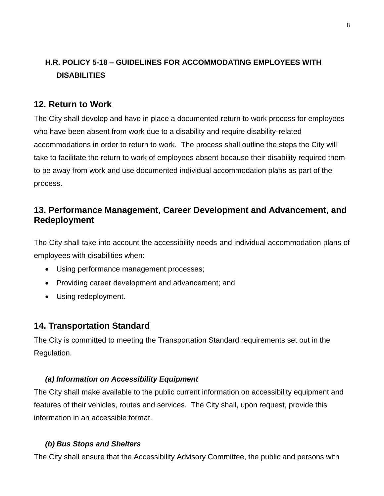## **H.R. POLICY 5-18 – GUIDELINES FOR ACCOMMODATING EMPLOYEES WITH DISABILITIES**

## **12. Return to Work**

The City shall develop and have in place a documented return to work process for employees who have been absent from work due to a disability and require disability-related accommodations in order to return to work. The process shall outline the steps the City will take to facilitate the return to work of employees absent because their disability required them to be away from work and use documented individual accommodation plans as part of the process.

## **13. Performance Management, Career Development and Advancement, and Redeployment**

The City shall take into account the accessibility needs and individual accommodation plans of employees with disabilities when:

- Using performance management processes;
- Providing career development and advancement; and
- Using redeployment.

## **14. Transportation Standard**

The City is committed to meeting the Transportation Standard requirements set out in the Regulation.

#### *(a) Information on Accessibility Equipment*

The City shall make available to the public current information on accessibility equipment and features of their vehicles, routes and services. The City shall, upon request, provide this information in an accessible format.

#### *(b) Bus Stops and Shelters*

The City shall ensure that the Accessibility Advisory Committee, the public and persons with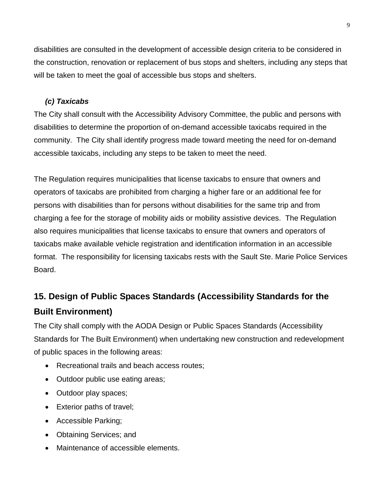disabilities are consulted in the development of accessible design criteria to be considered in the construction, renovation or replacement of bus stops and shelters, including any steps that will be taken to meet the goal of accessible bus stops and shelters.

#### *(c) Taxicabs*

The City shall consult with the Accessibility Advisory Committee, the public and persons with disabilities to determine the proportion of on-demand accessible taxicabs required in the community. The City shall identify progress made toward meeting the need for on-demand accessible taxicabs, including any steps to be taken to meet the need.

The Regulation requires municipalities that license taxicabs to ensure that owners and operators of taxicabs are prohibited from charging a higher fare or an additional fee for persons with disabilities than for persons without disabilities for the same trip and from charging a fee for the storage of mobility aids or mobility assistive devices. The Regulation also requires municipalities that license taxicabs to ensure that owners and operators of taxicabs make available vehicle registration and identification information in an accessible format. The responsibility for licensing taxicabs rests with the Sault Ste. Marie Police Services Board.

# **15. Design of Public Spaces Standards (Accessibility Standards for the Built Environment)**

The City shall comply with the AODA Design or Public Spaces Standards (Accessibility Standards for The Built Environment) when undertaking new construction and redevelopment of public spaces in the following areas:

- Recreational trails and beach access routes;
- Outdoor public use eating areas;
- Outdoor play spaces;
- Exterior paths of travel;
- Accessible Parking;
- Obtaining Services; and
- Maintenance of accessible elements.